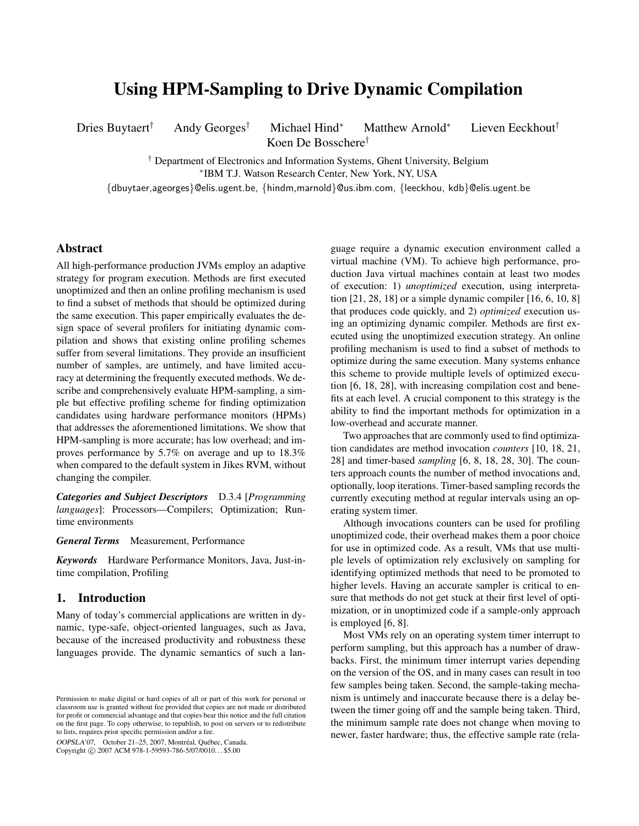# Using HPM-Sampling to Drive Dynamic Compilation

Dries Buytaert† Andy Georges† Michael Hind<sup>∗</sup> Matthew Arnold<sup>∗</sup> Lieven Eeckhout†

Koen De Bosschere†

† Department of Electronics and Information Systems, Ghent University, Belgium ∗ IBM T.J. Watson Research Center, New York, NY, USA

{dbuytaer,ageorges}@elis.ugent.be, {hindm,marnold}@us.ibm.com, {leeckhou, kdb}@elis.ugent.be

# Abstract

All high-performance production JVMs employ an adaptive strategy for program execution. Methods are first executed unoptimized and then an online profiling mechanism is used to find a subset of methods that should be optimized during the same execution. This paper empirically evaluates the design space of several profilers for initiating dynamic compilation and shows that existing online profiling schemes suffer from several limitations. They provide an insufficient number of samples, are untimely, and have limited accuracy at determining the frequently executed methods. We describe and comprehensively evaluate HPM-sampling, a simple but effective profiling scheme for finding optimization candidates using hardware performance monitors (HPMs) that addresses the aforementioned limitations. We show that HPM-sampling is more accurate; has low overhead; and improves performance by 5.7% on average and up to 18.3% when compared to the default system in Jikes RVM, without changing the compiler.

*Categories and Subject Descriptors* D.3.4 [*Programming languages*]: Processors—Compilers; Optimization; Runtime environments

*General Terms* Measurement, Performance

*Keywords* Hardware Performance Monitors, Java, Just-intime compilation, Profiling

### 1. Introduction

Many of today's commercial applications are written in dynamic, type-safe, object-oriented languages, such as Java, because of the increased productivity and robustness these languages provide. The dynamic semantics of such a lan-

OOPSLA'07, October 21-25, 2007, Montréal, Ouébec, Canada. Copyright © 2007 ACM 978-1-59593-786-5/07/0010... \$5.00

guage require a dynamic execution environment called a virtual machine (VM). To achieve high performance, production Java virtual machines contain at least two modes of execution: 1) *unoptimized* execution, using interpretation [21, 28, 18] or a simple dynamic compiler [16, 6, 10, 8] that produces code quickly, and 2) *optimized* execution using an optimizing dynamic compiler. Methods are first executed using the unoptimized execution strategy. An online profiling mechanism is used to find a subset of methods to optimize during the same execution. Many systems enhance this scheme to provide multiple levels of optimized execution [6, 18, 28], with increasing compilation cost and benefits at each level. A crucial component to this strategy is the ability to find the important methods for optimization in a low-overhead and accurate manner.

Two approaches that are commonly used to find optimization candidates are method invocation *counters* [10, 18, 21, 28] and timer-based *sampling* [6, 8, 18, 28, 30]. The counters approach counts the number of method invocations and, optionally, loop iterations. Timer-based sampling records the currently executing method at regular intervals using an operating system timer.

Although invocations counters can be used for profiling unoptimized code, their overhead makes them a poor choice for use in optimized code. As a result, VMs that use multiple levels of optimization rely exclusively on sampling for identifying optimized methods that need to be promoted to higher levels. Having an accurate sampler is critical to ensure that methods do not get stuck at their first level of optimization, or in unoptimized code if a sample-only approach is employed [6, 8].

Most VMs rely on an operating system timer interrupt to perform sampling, but this approach has a number of drawbacks. First, the minimum timer interrupt varies depending on the version of the OS, and in many cases can result in too few samples being taken. Second, the sample-taking mechanism is untimely and inaccurate because there is a delay between the timer going off and the sample being taken. Third, the minimum sample rate does not change when moving to newer, faster hardware; thus, the effective sample rate (rela-

Permission to make digital or hard copies of all or part of this work for personal or classroom use is granted without fee provided that copies are not made or distributed for profit or commercial advantage and that copies bear this notice and the full citation on the first page. To copy otherwise, to republish, to post on servers or to redistribute to lists, requires prior specific permission and/or a fee.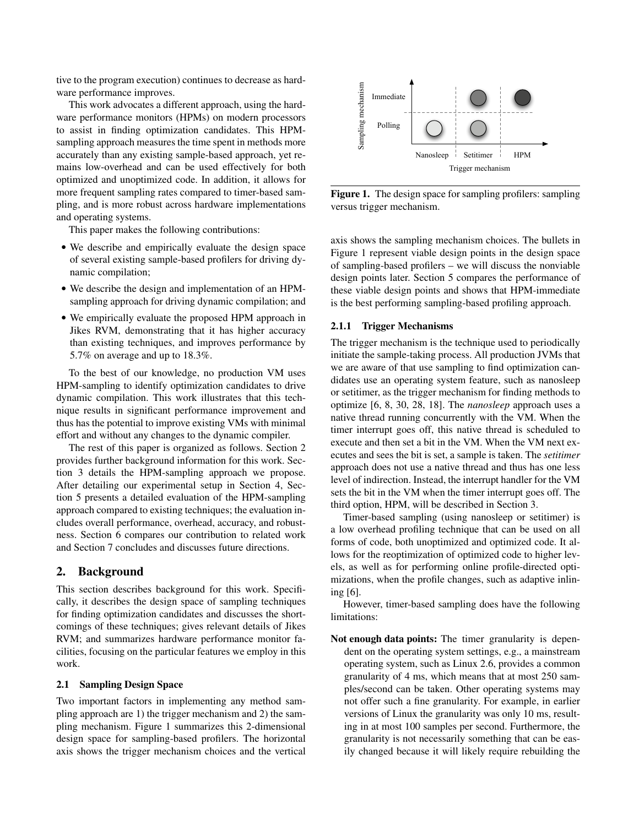tive to the program execution) continues to decrease as hardware performance improves.

This work advocates a different approach, using the hardware performance monitors (HPMs) on modern processors to assist in finding optimization candidates. This HPMsampling approach measures the time spent in methods more accurately than any existing sample-based approach, yet remains low-overhead and can be used effectively for both optimized and unoptimized code. In addition, it allows for more frequent sampling rates compared to timer-based sampling, and is more robust across hardware implementations and operating systems.

This paper makes the following contributions:

- We describe and empirically evaluate the design space of several existing sample-based profilers for driving dynamic compilation;
- We describe the design and implementation of an HPMsampling approach for driving dynamic compilation; and
- We empirically evaluate the proposed HPM approach in Jikes RVM, demonstrating that it has higher accuracy than existing techniques, and improves performance by 5.7% on average and up to 18.3%.

To the best of our knowledge, no production VM uses HPM-sampling to identify optimization candidates to drive dynamic compilation. This work illustrates that this technique results in significant performance improvement and thus has the potential to improve existing VMs with minimal effort and without any changes to the dynamic compiler.

The rest of this paper is organized as follows. Section 2 provides further background information for this work. Section 3 details the HPM-sampling approach we propose. After detailing our experimental setup in Section 4, Section 5 presents a detailed evaluation of the HPM-sampling approach compared to existing techniques; the evaluation includes overall performance, overhead, accuracy, and robustness. Section 6 compares our contribution to related work and Section 7 concludes and discusses future directions.

### 2. Background

This section describes background for this work. Specifically, it describes the design space of sampling techniques for finding optimization candidates and discusses the shortcomings of these techniques; gives relevant details of Jikes RVM; and summarizes hardware performance monitor facilities, focusing on the particular features we employ in this work.

#### 2.1 Sampling Design Space

Two important factors in implementing any method sampling approach are 1) the trigger mechanism and 2) the sampling mechanism. Figure 1 summarizes this 2-dimensional design space for sampling-based profilers. The horizontal axis shows the trigger mechanism choices and the vertical



Figure 1. The design space for sampling profilers: sampling versus trigger mechanism.

axis shows the sampling mechanism choices. The bullets in Figure 1 represent viable design points in the design space of sampling-based profilers – we will discuss the nonviable design points later. Section 5 compares the performance of these viable design points and shows that HPM-immediate is the best performing sampling-based profiling approach.

### 2.1.1 Trigger Mechanisms

The trigger mechanism is the technique used to periodically initiate the sample-taking process. All production JVMs that we are aware of that use sampling to find optimization candidates use an operating system feature, such as nanosleep or setitimer, as the trigger mechanism for finding methods to optimize [6, 8, 30, 28, 18]. The *nanosleep* approach uses a native thread running concurrently with the VM. When the timer interrupt goes off, this native thread is scheduled to execute and then set a bit in the VM. When the VM next executes and sees the bit is set, a sample is taken. The *setitimer* approach does not use a native thread and thus has one less level of indirection. Instead, the interrupt handler for the VM sets the bit in the VM when the timer interrupt goes off. The third option, HPM, will be described in Section 3.

Timer-based sampling (using nanosleep or setitimer) is a low overhead profiling technique that can be used on all forms of code, both unoptimized and optimized code. It allows for the reoptimization of optimized code to higher levels, as well as for performing online profile-directed optimizations, when the profile changes, such as adaptive inlining [6].

However, timer-based sampling does have the following limitations:

Not enough data points: The timer granularity is dependent on the operating system settings, e.g., a mainstream operating system, such as Linux 2.6, provides a common granularity of 4 ms, which means that at most 250 samples/second can be taken. Other operating systems may not offer such a fine granularity. For example, in earlier versions of Linux the granularity was only 10 ms, resulting in at most 100 samples per second. Furthermore, the granularity is not necessarily something that can be easily changed because it will likely require rebuilding the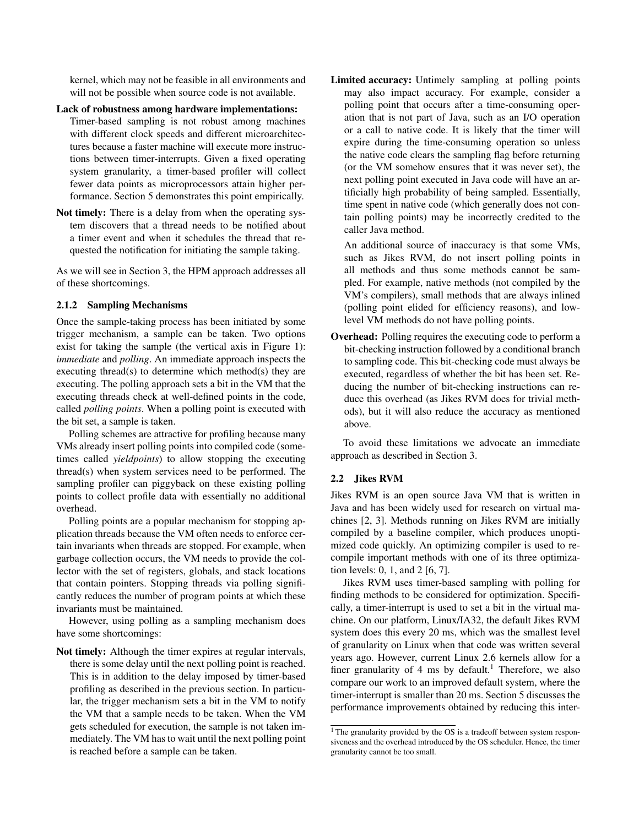kernel, which may not be feasible in all environments and will not be possible when source code is not available.

Lack of robustness among hardware implementations: Timer-based sampling is not robust among machines with different clock speeds and different microarchitectures because a faster machine will execute more instructions between timer-interrupts. Given a fixed operating system granularity, a timer-based profiler will collect fewer data points as microprocessors attain higher performance. Section 5 demonstrates this point empirically.

Not timely: There is a delay from when the operating system discovers that a thread needs to be notified about a timer event and when it schedules the thread that requested the notification for initiating the sample taking.

As we will see in Section 3, the HPM approach addresses all of these shortcomings.

# 2.1.2 Sampling Mechanisms

Once the sample-taking process has been initiated by some trigger mechanism, a sample can be taken. Two options exist for taking the sample (the vertical axis in Figure 1): *immediate* and *polling*. An immediate approach inspects the executing thread(s) to determine which method(s) they are executing. The polling approach sets a bit in the VM that the executing threads check at well-defined points in the code, called *polling points*. When a polling point is executed with the bit set, a sample is taken.

Polling schemes are attractive for profiling because many VMs already insert polling points into compiled code (sometimes called *yieldpoints*) to allow stopping the executing thread(s) when system services need to be performed. The sampling profiler can piggyback on these existing polling points to collect profile data with essentially no additional overhead.

Polling points are a popular mechanism for stopping application threads because the VM often needs to enforce certain invariants when threads are stopped. For example, when garbage collection occurs, the VM needs to provide the collector with the set of registers, globals, and stack locations that contain pointers. Stopping threads via polling significantly reduces the number of program points at which these invariants must be maintained.

However, using polling as a sampling mechanism does have some shortcomings:

Not timely: Although the timer expires at regular intervals, there is some delay until the next polling point is reached. This is in addition to the delay imposed by timer-based profiling as described in the previous section. In particular, the trigger mechanism sets a bit in the VM to notify the VM that a sample needs to be taken. When the VM gets scheduled for execution, the sample is not taken immediately. The VM has to wait until the next polling point is reached before a sample can be taken.

Limited accuracy: Untimely sampling at polling points may also impact accuracy. For example, consider a polling point that occurs after a time-consuming operation that is not part of Java, such as an I/O operation or a call to native code. It is likely that the timer will expire during the time-consuming operation so unless the native code clears the sampling flag before returning (or the VM somehow ensures that it was never set), the next polling point executed in Java code will have an artificially high probability of being sampled. Essentially, time spent in native code (which generally does not contain polling points) may be incorrectly credited to the caller Java method.

An additional source of inaccuracy is that some VMs, such as Jikes RVM, do not insert polling points in all methods and thus some methods cannot be sampled. For example, native methods (not compiled by the VM's compilers), small methods that are always inlined (polling point elided for efficiency reasons), and lowlevel VM methods do not have polling points.

Overhead: Polling requires the executing code to perform a bit-checking instruction followed by a conditional branch to sampling code. This bit-checking code must always be executed, regardless of whether the bit has been set. Reducing the number of bit-checking instructions can reduce this overhead (as Jikes RVM does for trivial methods), but it will also reduce the accuracy as mentioned above.

To avoid these limitations we advocate an immediate approach as described in Section 3.

# 2.2 Jikes RVM

Jikes RVM is an open source Java VM that is written in Java and has been widely used for research on virtual machines [2, 3]. Methods running on Jikes RVM are initially compiled by a baseline compiler, which produces unoptimized code quickly. An optimizing compiler is used to recompile important methods with one of its three optimization levels: 0, 1, and 2 [6, 7].

Jikes RVM uses timer-based sampling with polling for finding methods to be considered for optimization. Specifically, a timer-interrupt is used to set a bit in the virtual machine. On our platform, Linux/IA32, the default Jikes RVM system does this every 20 ms, which was the smallest level of granularity on Linux when that code was written several years ago. However, current Linux 2.6 kernels allow for a finer granularity of 4 ms by default.<sup>1</sup> Therefore, we also compare our work to an improved default system, where the timer-interrupt is smaller than 20 ms. Section 5 discusses the performance improvements obtained by reducing this inter-

<sup>&</sup>lt;sup>1</sup> The granularity provided by the OS is a tradeoff between system responsiveness and the overhead introduced by the OS scheduler. Hence, the timer granularity cannot be too small.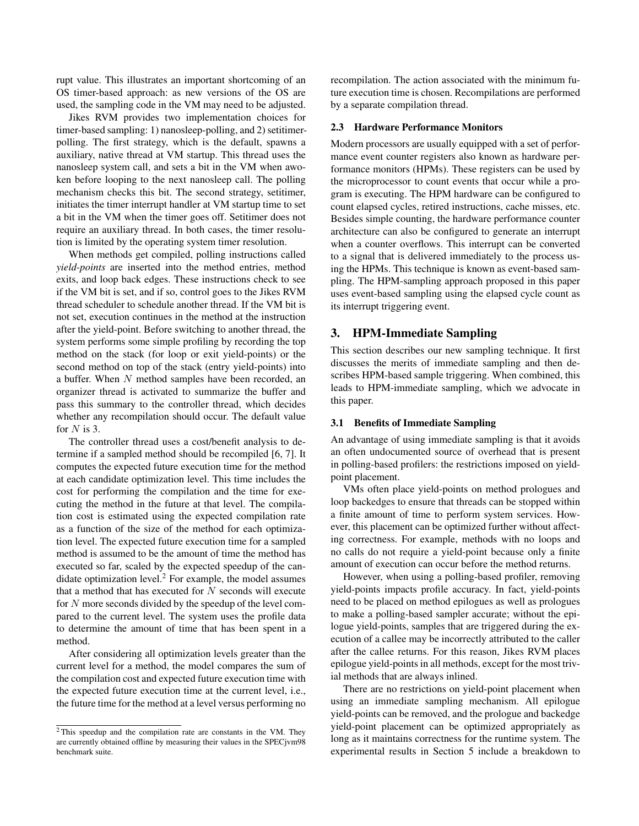rupt value. This illustrates an important shortcoming of an OS timer-based approach: as new versions of the OS are used, the sampling code in the VM may need to be adjusted.

Jikes RVM provides two implementation choices for timer-based sampling: 1) nanosleep-polling, and 2) setitimerpolling. The first strategy, which is the default, spawns a auxiliary, native thread at VM startup. This thread uses the nanosleep system call, and sets a bit in the VM when awoken before looping to the next nanosleep call. The polling mechanism checks this bit. The second strategy, setitimer, initiates the timer interrupt handler at VM startup time to set a bit in the VM when the timer goes off. Setitimer does not require an auxiliary thread. In both cases, the timer resolution is limited by the operating system timer resolution.

When methods get compiled, polling instructions called *yield-points* are inserted into the method entries, method exits, and loop back edges. These instructions check to see if the VM bit is set, and if so, control goes to the Jikes RVM thread scheduler to schedule another thread. If the VM bit is not set, execution continues in the method at the instruction after the yield-point. Before switching to another thread, the system performs some simple profiling by recording the top method on the stack (for loop or exit yield-points) or the second method on top of the stack (entry yield-points) into a buffer. When N method samples have been recorded, an organizer thread is activated to summarize the buffer and pass this summary to the controller thread, which decides whether any recompilation should occur. The default value for  $N$  is 3.

The controller thread uses a cost/benefit analysis to determine if a sampled method should be recompiled [6, 7]. It computes the expected future execution time for the method at each candidate optimization level. This time includes the cost for performing the compilation and the time for executing the method in the future at that level. The compilation cost is estimated using the expected compilation rate as a function of the size of the method for each optimization level. The expected future execution time for a sampled method is assumed to be the amount of time the method has executed so far, scaled by the expected speedup of the candidate optimization level.<sup>2</sup> For example, the model assumes that a method that has executed for  $N$  seconds will execute for N more seconds divided by the speedup of the level compared to the current level. The system uses the profile data to determine the amount of time that has been spent in a method.

After considering all optimization levels greater than the current level for a method, the model compares the sum of the compilation cost and expected future execution time with the expected future execution time at the current level, i.e., the future time for the method at a level versus performing no recompilation. The action associated with the minimum future execution time is chosen. Recompilations are performed by a separate compilation thread.

#### 2.3 Hardware Performance Monitors

Modern processors are usually equipped with a set of performance event counter registers also known as hardware performance monitors (HPMs). These registers can be used by the microprocessor to count events that occur while a program is executing. The HPM hardware can be configured to count elapsed cycles, retired instructions, cache misses, etc. Besides simple counting, the hardware performance counter architecture can also be configured to generate an interrupt when a counter overflows. This interrupt can be converted to a signal that is delivered immediately to the process using the HPMs. This technique is known as event-based sampling. The HPM-sampling approach proposed in this paper uses event-based sampling using the elapsed cycle count as its interrupt triggering event.

### 3. HPM-Immediate Sampling

This section describes our new sampling technique. It first discusses the merits of immediate sampling and then describes HPM-based sample triggering. When combined, this leads to HPM-immediate sampling, which we advocate in this paper.

#### 3.1 Benefits of Immediate Sampling

An advantage of using immediate sampling is that it avoids an often undocumented source of overhead that is present in polling-based profilers: the restrictions imposed on yieldpoint placement.

VMs often place yield-points on method prologues and loop backedges to ensure that threads can be stopped within a finite amount of time to perform system services. However, this placement can be optimized further without affecting correctness. For example, methods with no loops and no calls do not require a yield-point because only a finite amount of execution can occur before the method returns.

However, when using a polling-based profiler, removing yield-points impacts profile accuracy. In fact, yield-points need to be placed on method epilogues as well as prologues to make a polling-based sampler accurate; without the epilogue yield-points, samples that are triggered during the execution of a callee may be incorrectly attributed to the caller after the callee returns. For this reason, Jikes RVM places epilogue yield-points in all methods, except for the most trivial methods that are always inlined.

There are no restrictions on yield-point placement when using an immediate sampling mechanism. All epilogue yield-points can be removed, and the prologue and backedge yield-point placement can be optimized appropriately as long as it maintains correctness for the runtime system. The experimental results in Section 5 include a breakdown to

<sup>2</sup> This speedup and the compilation rate are constants in the VM. They are currently obtained offline by measuring their values in the SPECjvm98 benchmark suite.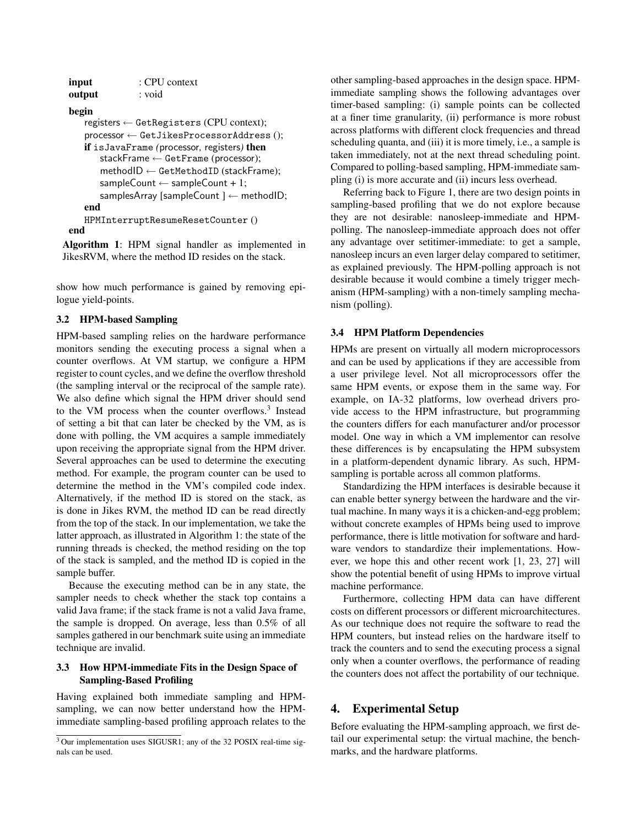| input  | : CPU context |
|--------|---------------|
| output | : void        |

begin

```
registers \leftarrow GetRequest; (CPU context);processor \leftarrow GetJikesProcessorAddress();
   if isJavaFrame (processor, registers) then
       stackFrame ← GetFrame (processor);
       methodID \leftarrow GetMethodID (stackFrame);sampleCount \leftarrow sampleCount + 1;samplesArray [sampleCount ] \leftarrow methodID;
   end
   HPMInterruptResumeResetCounter ()
end
```
Algorithm 1: HPM signal handler as implemented in JikesRVM, where the method ID resides on the stack.

show how much performance is gained by removing epilogue yield-points.

### 3.2 HPM-based Sampling

HPM-based sampling relies on the hardware performance monitors sending the executing process a signal when a counter overflows. At VM startup, we configure a HPM register to count cycles, and we define the overflow threshold (the sampling interval or the reciprocal of the sample rate). We also define which signal the HPM driver should send to the VM process when the counter overflows.<sup>3</sup> Instead of setting a bit that can later be checked by the VM, as is done with polling, the VM acquires a sample immediately upon receiving the appropriate signal from the HPM driver. Several approaches can be used to determine the executing method. For example, the program counter can be used to determine the method in the VM's compiled code index. Alternatively, if the method ID is stored on the stack, as is done in Jikes RVM, the method ID can be read directly from the top of the stack. In our implementation, we take the latter approach, as illustrated in Algorithm 1: the state of the running threads is checked, the method residing on the top of the stack is sampled, and the method ID is copied in the sample buffer.

Because the executing method can be in any state, the sampler needs to check whether the stack top contains a valid Java frame; if the stack frame is not a valid Java frame, the sample is dropped. On average, less than 0.5% of all samples gathered in our benchmark suite using an immediate technique are invalid.

## 3.3 How HPM-immediate Fits in the Design Space of Sampling-Based Profiling

Having explained both immediate sampling and HPMsampling, we can now better understand how the HPMimmediate sampling-based profiling approach relates to the other sampling-based approaches in the design space. HPMimmediate sampling shows the following advantages over timer-based sampling: (i) sample points can be collected at a finer time granularity, (ii) performance is more robust across platforms with different clock frequencies and thread scheduling quanta, and (iii) it is more timely, i.e., a sample is taken immediately, not at the next thread scheduling point. Compared to polling-based sampling, HPM-immediate sampling (i) is more accurate and (ii) incurs less overhead.

Referring back to Figure 1, there are two design points in sampling-based profiling that we do not explore because they are not desirable: nanosleep-immediate and HPMpolling. The nanosleep-immediate approach does not offer any advantage over setitimer-immediate: to get a sample, nanosleep incurs an even larger delay compared to setitimer, as explained previously. The HPM-polling approach is not desirable because it would combine a timely trigger mechanism (HPM-sampling) with a non-timely sampling mechanism (polling).

### 3.4 HPM Platform Dependencies

HPMs are present on virtually all modern microprocessors and can be used by applications if they are accessible from a user privilege level. Not all microprocessors offer the same HPM events, or expose them in the same way. For example, on IA-32 platforms, low overhead drivers provide access to the HPM infrastructure, but programming the counters differs for each manufacturer and/or processor model. One way in which a VM implementor can resolve these differences is by encapsulating the HPM subsystem in a platform-dependent dynamic library. As such, HPMsampling is portable across all common platforms.

Standardizing the HPM interfaces is desirable because it can enable better synergy between the hardware and the virtual machine. In many ways it is a chicken-and-egg problem; without concrete examples of HPMs being used to improve performance, there is little motivation for software and hardware vendors to standardize their implementations. However, we hope this and other recent work [1, 23, 27] will show the potential benefit of using HPMs to improve virtual machine performance.

Furthermore, collecting HPM data can have different costs on different processors or different microarchitectures. As our technique does not require the software to read the HPM counters, but instead relies on the hardware itself to track the counters and to send the executing process a signal only when a counter overflows, the performance of reading the counters does not affect the portability of our technique.

### 4. Experimental Setup

Before evaluating the HPM-sampling approach, we first detail our experimental setup: the virtual machine, the benchmarks, and the hardware platforms.

<sup>3</sup> Our implementation uses SIGUSR1; any of the 32 POSIX real-time signals can be used.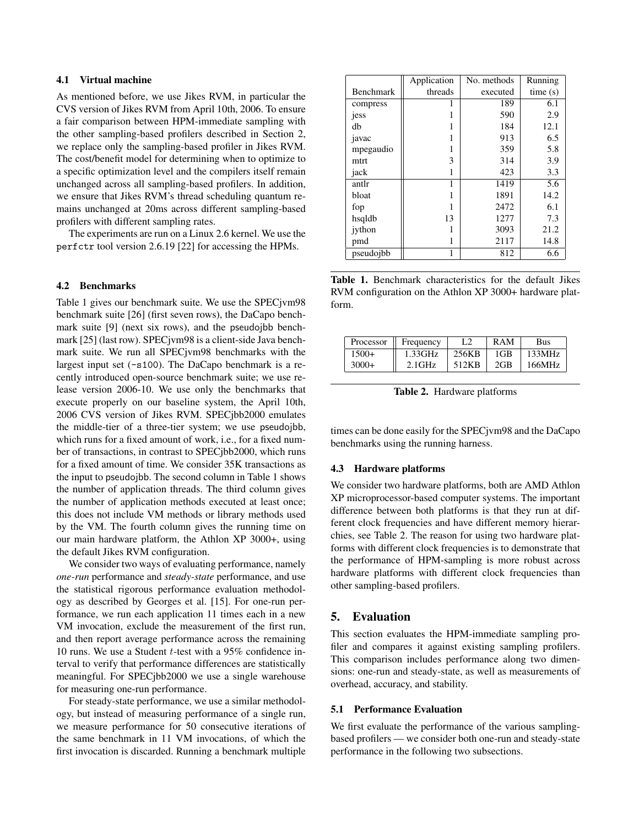### 4.1 Virtual machine

As mentioned before, we use Jikes RVM, in particular the CVS version of Jikes RVM from April 10th, 2006. To ensure a fair comparison between HPM-immediate sampling with the other sampling-based profilers described in Section 2, we replace only the sampling-based profiler in Jikes RVM. The cost/benefit model for determining when to optimize to a specific optimization level and the compilers itself remain unchanged across all sampling-based profilers. In addition, we ensure that Jikes RVM's thread scheduling quantum remains unchanged at 20ms across different sampling-based profilers with different sampling rates.

The experiments are run on a Linux 2.6 kernel. We use the perfctr tool version 2.6.19 [22] for accessing the HPMs.

#### 4.2 Benchmarks

Table 1 gives our benchmark suite. We use the SPECjvm98 benchmark suite [26] (first seven rows), the DaCapo benchmark suite [9] (next six rows), and the pseudojbb benchmark [25] (last row). SPECjvm98 is a client-side Java benchmark suite. We run all SPECjvm98 benchmarks with the largest input set (-s100). The DaCapo benchmark is a recently introduced open-source benchmark suite; we use release version 2006-10. We use only the benchmarks that execute properly on our baseline system, the April 10th, 2006 CVS version of Jikes RVM. SPECjbb2000 emulates the middle-tier of a three-tier system; we use pseudojbb, which runs for a fixed amount of work, i.e., for a fixed number of transactions, in contrast to SPECjbb2000, which runs for a fixed amount of time. We consider 35K transactions as the input to pseudojbb. The second column in Table 1 shows the number of application threads. The third column gives the number of application methods executed at least once; this does not include VM methods or library methods used by the VM. The fourth column gives the running time on our main hardware platform, the Athlon XP 3000+, using the default Jikes RVM configuration.

We consider two ways of evaluating performance, namely *one-run* performance and *steady-state* performance, and use the statistical rigorous performance evaluation methodology as described by Georges et al. [15]. For one-run performance, we run each application 11 times each in a new VM invocation, exclude the measurement of the first run, and then report average performance across the remaining 10 runs. We use a Student t-test with a 95% confidence interval to verify that performance differences are statistically meaningful. For SPECjbb2000 we use a single warehouse for measuring one-run performance.

For steady-state performance, we use a similar methodology, but instead of measuring performance of a single run, we measure performance for 50 consecutive iterations of the same benchmark in 11 VM invocations, of which the first invocation is discarded. Running a benchmark multiple

|           | Application | No. methods | Running |
|-----------|-------------|-------------|---------|
| Benchmark | threads     | executed    | time(s) |
| compress  |             | 189         | 6.1     |
| jess      |             | 590         | 2.9     |
| db        |             | 184         | 12.1    |
| javac     |             | 913         | 6.5     |
| mpegaudio |             | 359         | 5.8     |
| mtrt      | 3           | 314         | 3.9     |
| jack      |             | 423         | 3.3     |
| antlr     |             | 1419        | 5.6     |
| bloat     |             | 1891        | 14.2    |
| fop       |             | 2472        | 6.1     |
| hsqldb    | 13          | 1277        | 7.3     |
| jython    |             | 3093        | 21.2    |
| pmd       | 1           | 2117        | 14.8    |
| pseudojbb | 1           | 812         | 6.6     |

Table 1. Benchmark characteristics for the default Jikes RVM configuration on the Athlon XP 3000+ hardware platform.

| Processor | Frequency  |       | <b>RAM</b> | Bus    |
|-----------|------------|-------|------------|--------|
| $1500+$   | $1.33$ GHz | 256KB | 1GB        | 133MHz |
| $3000+$   | $2.1$ GHz  | 512KB | $2$ GB     | 166MHz |

Table 2. Hardware platforms

times can be done easily for the SPECjvm98 and the DaCapo benchmarks using the running harness.

### 4.3 Hardware platforms

We consider two hardware platforms, both are AMD Athlon XP microprocessor-based computer systems. The important difference between both platforms is that they run at different clock frequencies and have different memory hierarchies, see Table 2. The reason for using two hardware platforms with different clock frequencies is to demonstrate that the performance of HPM-sampling is more robust across hardware platforms with different clock frequencies than other sampling-based profilers.

## 5. Evaluation

This section evaluates the HPM-immediate sampling profiler and compares it against existing sampling profilers. This comparison includes performance along two dimensions: one-run and steady-state, as well as measurements of overhead, accuracy, and stability.

### 5.1 Performance Evaluation

We first evaluate the performance of the various samplingbased profilers — we consider both one-run and steady-state performance in the following two subsections.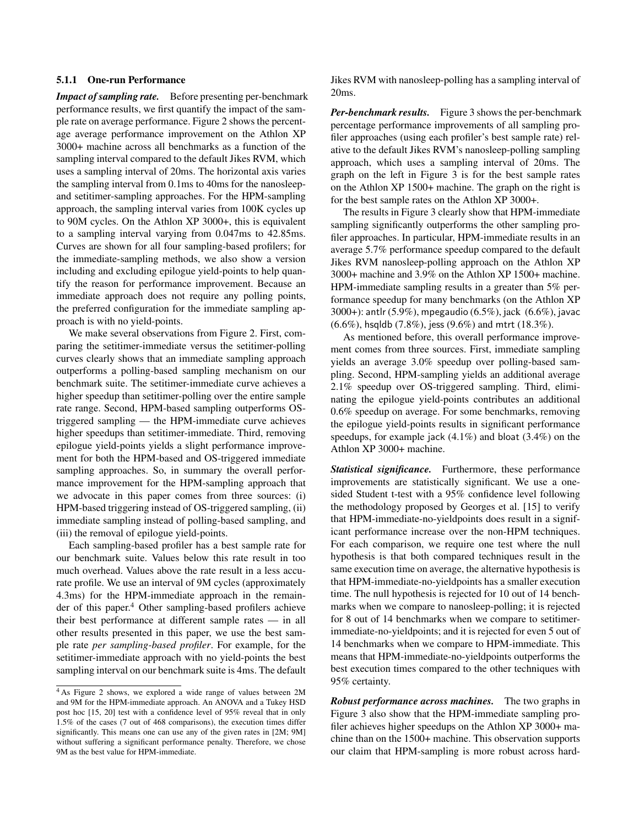### 5.1.1 One-run Performance

*Impact of sampling rate.* Before presenting per-benchmark performance results, we first quantify the impact of the sample rate on average performance. Figure 2 shows the percentage average performance improvement on the Athlon XP 3000+ machine across all benchmarks as a function of the sampling interval compared to the default Jikes RVM, which uses a sampling interval of 20ms. The horizontal axis varies the sampling interval from 0.1ms to 40ms for the nanosleepand setitimer-sampling approaches. For the HPM-sampling approach, the sampling interval varies from 100K cycles up to 90M cycles. On the Athlon XP 3000+, this is equivalent to a sampling interval varying from 0.047ms to 42.85ms. Curves are shown for all four sampling-based profilers; for the immediate-sampling methods, we also show a version including and excluding epilogue yield-points to help quantify the reason for performance improvement. Because an immediate approach does not require any polling points, the preferred configuration for the immediate sampling approach is with no yield-points.

We make several observations from Figure 2. First, comparing the setitimer-immediate versus the setitimer-polling curves clearly shows that an immediate sampling approach outperforms a polling-based sampling mechanism on our benchmark suite. The setitimer-immediate curve achieves a higher speedup than setitimer-polling over the entire sample rate range. Second, HPM-based sampling outperforms OStriggered sampling — the HPM-immediate curve achieves higher speedups than setitimer-immediate. Third, removing epilogue yield-points yields a slight performance improvement for both the HPM-based and OS-triggered immediate sampling approaches. So, in summary the overall performance improvement for the HPM-sampling approach that we advocate in this paper comes from three sources: (i) HPM-based triggering instead of OS-triggered sampling, (ii) immediate sampling instead of polling-based sampling, and (iii) the removal of epilogue yield-points.

Each sampling-based profiler has a best sample rate for our benchmark suite. Values below this rate result in too much overhead. Values above the rate result in a less accurate profile. We use an interval of 9M cycles (approximately 4.3ms) for the HPM-immediate approach in the remainder of this paper.<sup>4</sup> Other sampling-based profilers achieve their best performance at different sample rates — in all other results presented in this paper, we use the best sample rate *per sampling-based profiler*. For example, for the setitimer-immediate approach with no yield-points the best sampling interval on our benchmark suite is 4ms. The default Jikes RVM with nanosleep-polling has a sampling interval of 20ms.

*Per-benchmark results.* Figure 3 shows the per-benchmark percentage performance improvements of all sampling profiler approaches (using each profiler's best sample rate) relative to the default Jikes RVM's nanosleep-polling sampling approach, which uses a sampling interval of 20ms. The graph on the left in Figure 3 is for the best sample rates on the Athlon XP 1500+ machine. The graph on the right is for the best sample rates on the Athlon XP 3000+.

The results in Figure 3 clearly show that HPM-immediate sampling significantly outperforms the other sampling profiler approaches. In particular, HPM-immediate results in an average 5.7% performance speedup compared to the default Jikes RVM nanosleep-polling approach on the Athlon XP 3000+ machine and 3.9% on the Athlon XP 1500+ machine. HPM-immediate sampling results in a greater than 5% performance speedup for many benchmarks (on the Athlon XP 3000+): antlr (5.9%), mpegaudio (6.5%), jack (6.6%), javac  $(6.6\%)$ , hsqldb  $(7.8\%)$ , jess  $(9.6\%)$  and mtrt  $(18.3\%)$ .

As mentioned before, this overall performance improvement comes from three sources. First, immediate sampling yields an average 3.0% speedup over polling-based sampling. Second, HPM-sampling yields an additional average 2.1% speedup over OS-triggered sampling. Third, eliminating the epilogue yield-points contributes an additional 0.6% speedup on average. For some benchmarks, removing the epilogue yield-points results in significant performance speedups, for example jack (4.1%) and bloat (3.4%) on the Athlon XP 3000+ machine.

*Statistical significance.* Furthermore, these performance improvements are statistically significant. We use a onesided Student t-test with a 95% confidence level following the methodology proposed by Georges et al. [15] to verify that HPM-immediate-no-yieldpoints does result in a significant performance increase over the non-HPM techniques. For each comparison, we require one test where the null hypothesis is that both compared techniques result in the same execution time on average, the alternative hypothesis is that HPM-immediate-no-yieldpoints has a smaller execution time. The null hypothesis is rejected for 10 out of 14 benchmarks when we compare to nanosleep-polling; it is rejected for 8 out of 14 benchmarks when we compare to setitimerimmediate-no-yieldpoints; and it is rejected for even 5 out of 14 benchmarks when we compare to HPM-immediate. This means that HPM-immediate-no-yieldpoints outperforms the best execution times compared to the other techniques with 95% certainty.

*Robust performance across machines.* The two graphs in Figure 3 also show that the HPM-immediate sampling profiler achieves higher speedups on the Athlon XP 3000+ machine than on the 1500+ machine. This observation supports our claim that HPM-sampling is more robust across hard-

<sup>4</sup> As Figure 2 shows, we explored a wide range of values between 2M and 9M for the HPM-immediate approach. An ANOVA and a Tukey HSD post hoc [15, 20] test with a confidence level of 95% reveal that in only 1.5% of the cases (7 out of 468 comparisons), the execution times differ significantly. This means one can use any of the given rates in [2M; 9M] without suffering a significant performance penalty. Therefore, we chose 9M as the best value for HPM-immediate.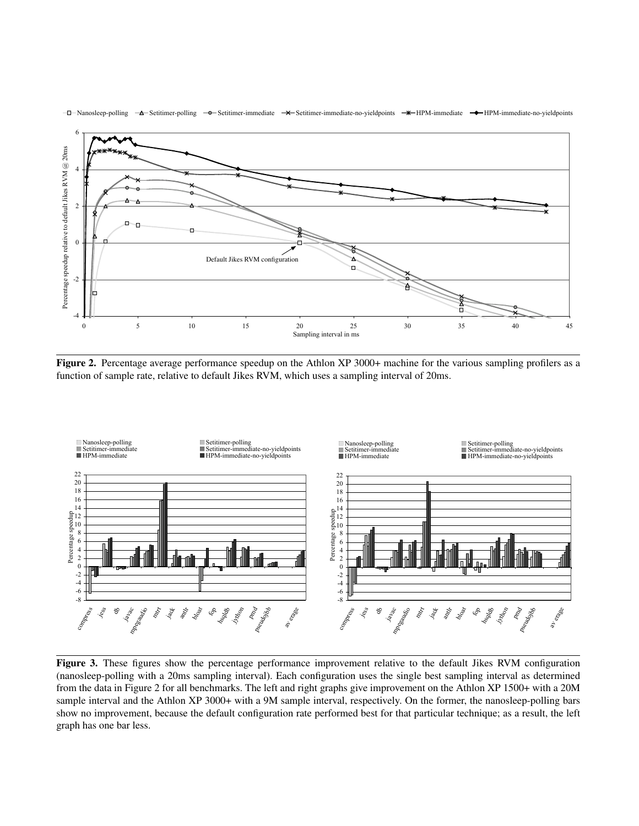

<del>□</del> Nanosleep-polling <br>
→
Setitimer-polling 
→
Setitimer-polling →
Setitimer-polling →
Setitimer-polling →
Setitimer-polling →
Setitimer-polling →
Setitimer-polling →
Setitimer-polling →
Setitimer-pollin

Figure 2. Percentage average performance speedup on the Athlon XP 3000+ machine for the various sampling profilers as a function of sample rate, relative to default Jikes RVM, which uses a sampling interval of 20ms.



Figure 3. These figures show the percentage performance improvement relative to the default Jikes RVM configuration (nanosleep-polling with a 20ms sampling interval). Each configuration uses the single best sampling interval as determined from the data in Figure 2 for all benchmarks. The left and right graphs give improvement on the Athlon XP 1500+ with a 20M sample interval and the Athlon XP 3000+ with a 9M sample interval, respectively. On the former, the nanosleep-polling bars show no improvement, because the default configuration rate performed best for that particular technique; as a result, the left graph has one bar less.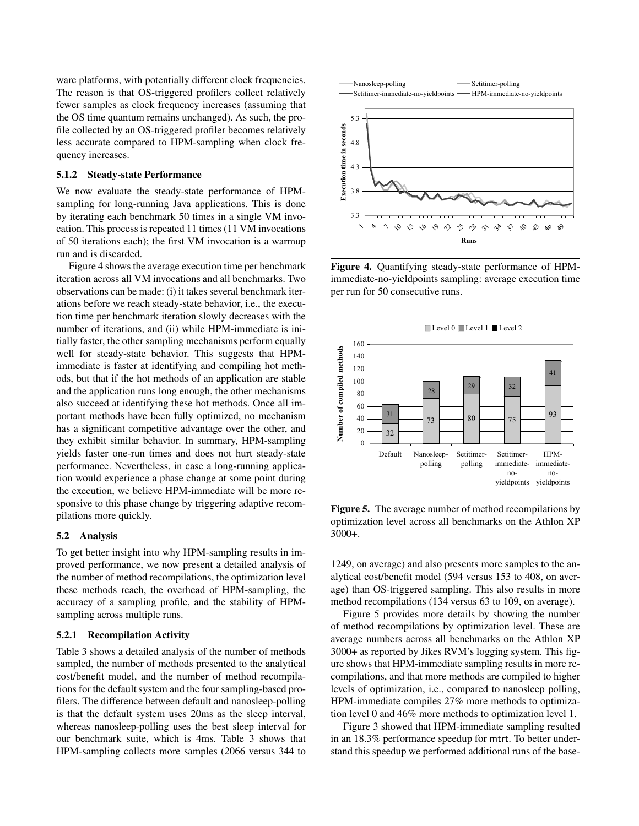ware platforms, with potentially different clock frequencies. The reason is that OS-triggered profilers collect relatively fewer samples as clock frequency increases (assuming that the OS time quantum remains unchanged). As such, the profile collected by an OS-triggered profiler becomes relatively less accurate compared to HPM-sampling when clock frequency increases.

#### 5.1.2 Steady-state Performance

We now evaluate the steady-state performance of HPMsampling for long-running Java applications. This is done by iterating each benchmark 50 times in a single VM invocation. This process is repeated 11 times (11 VM invocations of 50 iterations each); the first VM invocation is a warmup run and is discarded.

Figure 4 shows the average execution time per benchmark iteration across all VM invocations and all benchmarks. Two observations can be made: (i) it takes several benchmark iterations before we reach steady-state behavior, i.e., the execution time per benchmark iteration slowly decreases with the number of iterations, and (ii) while HPM-immediate is initially faster, the other sampling mechanisms perform equally well for steady-state behavior. This suggests that HPMimmediate is faster at identifying and compiling hot methods, but that if the hot methods of an application are stable and the application runs long enough, the other mechanisms also succeed at identifying these hot methods. Once all important methods have been fully optimized, no mechanism has a significant competitive advantage over the other, and they exhibit similar behavior. In summary, HPM-sampling yields faster one-run times and does not hurt steady-state performance. Nevertheless, in case a long-running application would experience a phase change at some point during the execution, we believe HPM-immediate will be more responsive to this phase change by triggering adaptive recompilations more quickly. by interaing each benchmark S0 times in a single VM invo-<br>increasing continents and is discarded the smoothly by increasing Figure 314 to<br>station. This process is repeated 11 times (11 VM invocations<br>of 50 iterations each)

#### 5.2 Analysis

To get better insight into why HPM-sampling results in improved performance, we now present a detailed analysis of the number of method recompilations, the optimization level these methods reach, the overhead of HPM-sampling, the accuracy of a sampling profile, and the stability of HPMsampling across multiple runs.

### 5.2.1 Recompilation Activity

Table 3 shows a detailed analysis of the number of methods sampled, the number of methods presented to the analytical cost/benefit model, and the number of method recompilations for the default system and the four sampling-based profilers. The difference between default and nanosleep-polling is that the default system uses 20ms as the sleep interval, whereas nanosleep-polling uses the best sleep interval for our benchmark suite, which is 4ms. Table 3 shows that



Figure 4. Quantifying steady-state performance of HPMimmediate-no-yieldpoints sampling: average execution time per run for 50 consecutive runs.



Figure 5. The average number of method recompilations by optimization level across all benchmarks on the Athlon XP 3000+.

1249, on average) and also presents more samples to the analytical cost/benefit model (594 versus 153 to 408, on average) than OS-triggered sampling. This also results in more method recompilations (134 versus 63 to 109, on average).

Figure 5 provides more details by showing the number of method recompilations by optimization level. These are average numbers across all benchmarks on the Athlon XP 3000+ as reported by Jikes RVM's logging system. This figure shows that HPM-immediate sampling results in more recompilations, and that more methods are compiled to higher levels of optimization, i.e., compared to nanosleep polling, HPM-immediate compiles 27% more methods to optimization level 0 and 46% more methods to optimization level 1.

Figure 3 showed that HPM-immediate sampling resulted in an 18.3% performance speedup for mtrt. To better understand this speedup we performed additional runs of the base-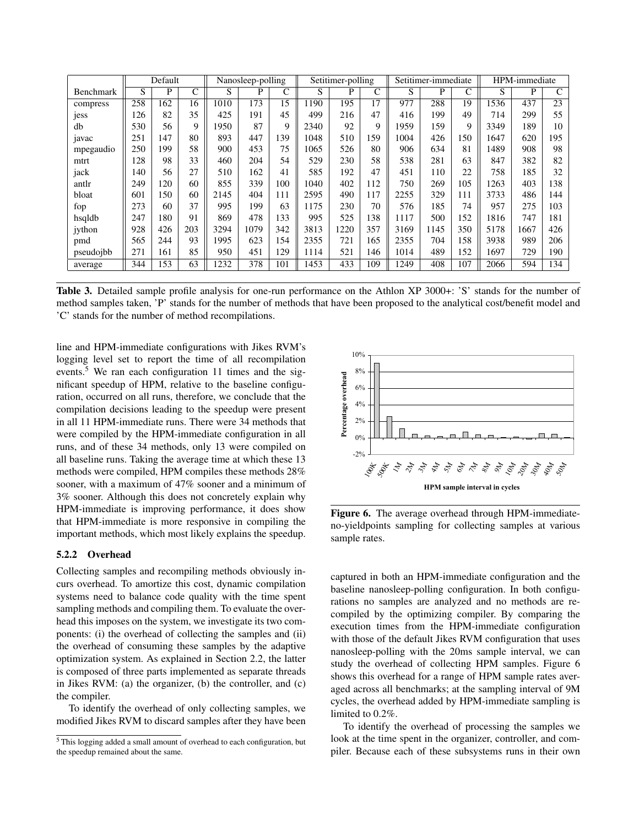|           | Default |     |     | Nanosleep-polling |      |               |      | Setitimer-polling |     | Setitimer-immediate |      |     | HPM-immediate |      |     |
|-----------|---------|-----|-----|-------------------|------|---------------|------|-------------------|-----|---------------------|------|-----|---------------|------|-----|
| Benchmark | S       | P   | C   | S                 | P    | $\mathcal{C}$ | S    | P                 | C   | S                   | P    | C   | S             | P    | C   |
| compress  | 258     | 162 | 16  | 1010              | 173  | 15            | 1190 | 195               | 17  | 977                 | 288  | 19  | 1536          | 437  | 23  |
| jess      | 126     | 82  | 35  | 425               | 191  | 45            | 499  | 216               | 47  | 416                 | 199  | 49  | 714           | 299  | 55  |
| db        | 530     | 56  | 9   | 1950              | 87   | 9             | 2340 | 92                | 9   | 1959                | 159  | 9   | 3349          | 189  | 10  |
| javac     | 251     | 147 | 80  | 893               | 447  | 39            | 1048 | 510               | 159 | 1004                | 426  | 150 | 1647          | 620  | 195 |
| mpegaudio | 250     | 199 | 58  | 900               | 453  | 75            | 1065 | 526               | 80  | 906                 | 634  | 81  | 1489          | 908  | 98  |
| mtrt      | 128     | 98  | 33  | 460               | 204  | 54            | 529  | 230               | 58  | 538                 | 281  | 63  | 847           | 382  | 82  |
| jack      | 140     | 56  | 27  | 510               | 162  | 41            | 585  | 192               | 47  | 451                 | 110  | 22  | 758           | 185  | 32  |
| antlr     | 249     | 120 | 60  | 855               | 339  | 100           | 1040 | 402               | 112 | 750                 | 269  | 105 | 1263          | 403  | 138 |
| bloat     | 601     | 150 | 60  | 2145              | 404  | 111           | 2595 | 490               | 117 | 2255                | 329  | 111 | 3733          | 486  | 144 |
| fop       | 273     | 60  | 37  | 995               | 199  | 63            | 1175 | 230               | 70  | 576                 | 185  | 74  | 957           | 275  | 103 |
| hsqldb    | 247     | 180 | 91  | 869               | 478  | 133           | 995  | 525               | 138 | 1117                | 500  | 152 | 1816          | 747  | 181 |
| jython    | 928     | 426 | 203 | 3294              | 1079 | 342           | 3813 | 1220              | 357 | 3169                | 1145 | 350 | 5178          | 1667 | 426 |
| pmd       | 565     | 244 | 93  | 1995              | 623  | 154           | 2355 | 721               | 165 | 2355                | 704  | 158 | 3938          | 989  | 206 |
| pseudojbb | 271     | 161 | 85  | 950               | 451  | 29            | 1114 | 521               | 146 | 1014                | 489  | 152 | 1697          | 729  | 190 |
| average   | 344     | 153 | 63  | 1232              | 378  | 101           | 1453 | 433               | 109 | 1249                | 408  | 107 | 2066          | 594  | 134 |

Table 3. Detailed sample profile analysis for one-run performance on the Athlon XP 3000+: 'S' stands for the number of method samples taken, 'P' stands for the number of methods that have been proposed to the analytical cost/benefit model and 'C' stands for the number of method recompilations.

line and HPM-immediate configurations with Jikes RVM's logging level set to report the time of all recompilation events.<sup>5</sup> We ran each configuration 11 times and the significant speedup of HPM, relative to the baseline configuration, occurred on all runs, therefore, we conclude that the compilation decisions leading to the speedup were present in all 11 HPM-immediate runs. There were 34 methods that were compiled by the HPM-immediate configuration in all runs, and of these 34 methods, only 13 were compiled on all baseline runs. Taking the average time at which these 13 methods were compiled, HPM compiles these methods 28% sooner, with a maximum of 47% sooner and a minimum of 3% sooner. Although this does not concretely explain why HPM-immediate is improving performance, it does show that HPM-immediate is more responsive in compiling the important methods, which most likely explains the speedup.

#### 5.2.2 Overhead

Collecting samples and recompiling methods obviously incurs overhead. To amortize this cost, dynamic compilation systems need to balance code quality with the time spent sampling methods and compiling them. To evaluate the overhead this imposes on the system, we investigate its two components: (i) the overhead of collecting the samples and (ii) the overhead of consuming these samples by the adaptive optimization system. As explained in Section 2.2, the latter is composed of three parts implemented as separate threads in Jikes RVM: (a) the organizer, (b) the controller, and (c) the compiler.

To identify the overhead of only collecting samples, we modified Jikes RVM to discard samples after they have been



Figure 6. The average overhead through HPM-immediateno-yieldpoints sampling for collecting samples at various sample rates.

captured in both an HPM-immediate configuration and the baseline nanosleep-polling configuration. In both configurations no samples are analyzed and no methods are recompiled by the optimizing compiler. By comparing the execution times from the HPM-immediate configuration with those of the default Jikes RVM configuration that uses nanosleep-polling with the 20ms sample interval, we can study the overhead of collecting HPM samples. Figure 6 shows this overhead for a range of HPM sample rates averaged across all benchmarks; at the sampling interval of 9M cycles, the overhead added by HPM-immediate sampling is limited to 0.2%.

To identify the overhead of processing the samples we look at the time spent in the organizer, controller, and compiler. Because each of these subsystems runs in their own

<sup>&</sup>lt;sup>5</sup>This logging added a small amount of overhead to each configuration, but the speedup remained about the same.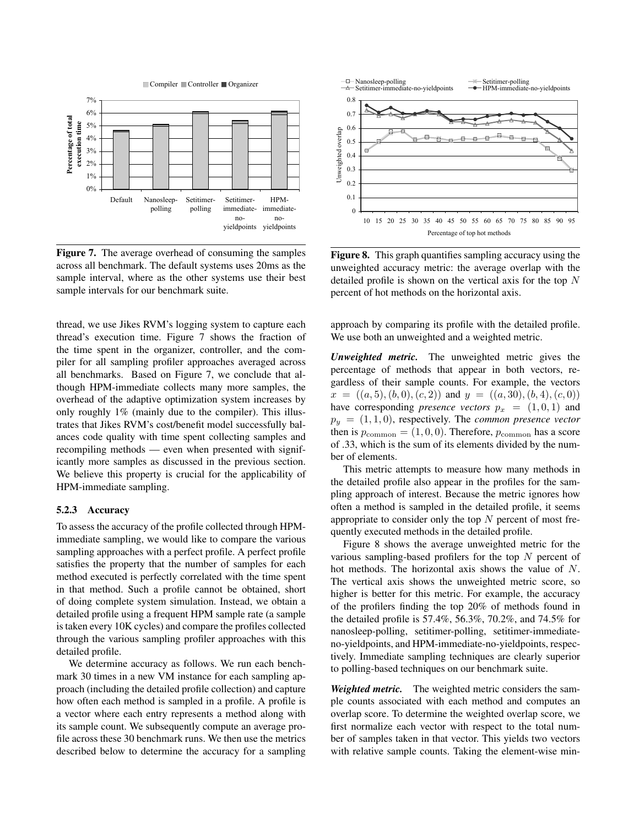

Figure 7. The average overhead of consuming the samples across all benchmark. The default systems uses 20ms as the sample interval, where as the other systems use their best sample intervals for our benchmark suite.

thread, we use Jikes RVM's logging system to capture each thread's execution time. Figure 7 shows the fraction of the time spent in the organizer, controller, and the compiler for all sampling profiler approaches averaged across all benchmarks. Based on Figure 7, we conclude that although HPM-immediate collects many more samples, the overhead of the adaptive optimization system increases by only roughly 1% (mainly due to the compiler). This illustrates that Jikes RVM's cost/benefit model successfully balances code quality with time spent collecting samples and recompiling methods — even when presented with significantly more samples as discussed in the previous section. We believe this property is crucial for the applicability of HPM-immediate sampling. points<br> **Figure 7.** The average overhead of consuming the simples<br>
arecoss all benchmark. The default systems uses 20ns as the<br>
sample interval, where as the other systems we their best<br>
sample interval, where as the othe

#### 5.2.3 Accuracy

To assess the accuracy of the profile collected through HPMimmediate sampling, we would like to compare the various sampling approaches with a perfect profile. A perfect profile satisfies the property that the number of samples for each method executed is perfectly correlated with the time spent in that method. Such a profile cannot be obtained, short of doing complete system simulation. Instead, we obtain a detailed profile using a frequent HPM sample rate (a sample is taken every 10K cycles) and compare the profiles collected through the various sampling profiler approaches with this detailed profile.

We determine accuracy as follows. We run each benchmark 30 times in a new VM instance for each sampling approach (including the detailed profile collection) and capture how often each method is sampled in a profile. A profile is a vector where each entry represents a method along with its sample count. We subsequently compute an average profile across these 30 benchmark runs. We then use the metrics



Figure 8. This graph quantifies sampling accuracy using the unweighted accuracy metric: the average overlap with the detailed profile is shown on the vertical axis for the top  $N$ percent of hot methods on the horizontal axis.

approach by comparing its profile with the detailed profile. We use both an unweighted and a weighted metric.

*Unweighted metric.* The unweighted metric gives the percentage of methods that appear in both vectors, regardless of their sample counts. For example, the vectors  $x = ((a, 5), (b, 0), (c, 2))$  and  $y = ((a, 30), (b, 4), (c, 0))$ have corresponding *presence vectors*  $p_x = (1, 0, 1)$  and  $p_y = (1, 1, 0)$ , respectively. The *common presence vector* then is  $p_{\text{common}} = (1, 0, 0)$ . Therefore,  $p_{\text{common}}$  has a score of .33, which is the sum of its elements divided by the number of elements.

This metric attempts to measure how many methods in the detailed profile also appear in the profiles for the sampling approach of interest. Because the metric ignores how often a method is sampled in the detailed profile, it seems appropriate to consider only the top  $N$  percent of most frequently executed methods in the detailed profile.

Figure 8 shows the average unweighted metric for the various sampling-based profilers for the top  $N$  percent of hot methods. The horizontal axis shows the value of N. The vertical axis shows the unweighted metric score, so higher is better for this metric. For example, the accuracy of the profilers finding the top 20% of methods found in the detailed profile is 57.4%, 56.3%, 70.2%, and 74.5% for nanosleep-polling, setitimer-polling, setitimer-immediateno-yieldpoints, and HPM-immediate-no-yieldpoints, respectively. Immediate sampling techniques are clearly superior to polling-based techniques on our benchmark suite.

*Weighted metric.* The weighted metric considers the sample counts associated with each method and computes an overlap score. To determine the weighted overlap score, we first normalize each vector with respect to the total number of samples taken in that vector. This yields two vectors with relative sample counts. Taking the element-wise min-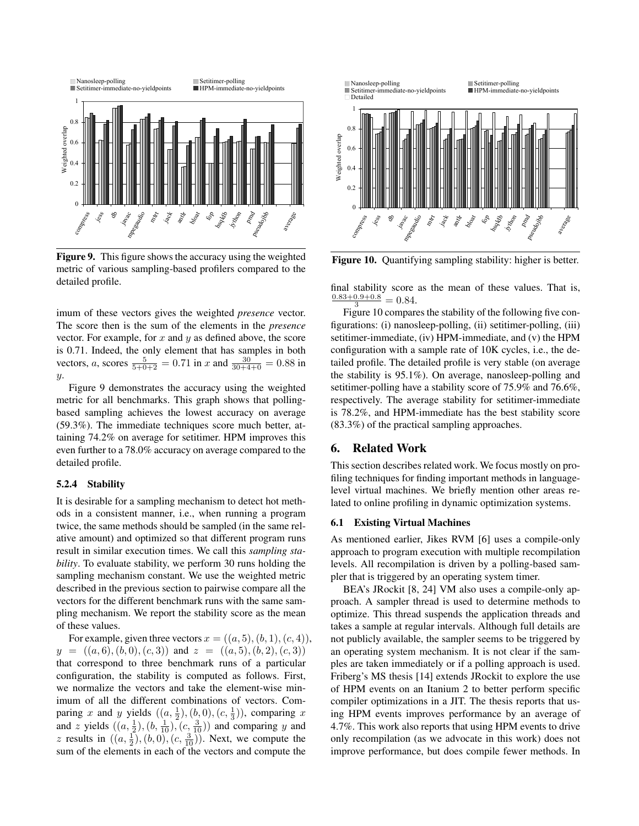

Figure 9. This figure shows the accuracy using the weighted metric of various sampling-based profilers compared to the detailed profile.

imum of these vectors gives the weighted *presence* vector. The score then is the sum of the elements in the *presence* vector. For example, for  $x$  and  $y$  as defined above, the score is 0.71. Indeed, the only element that has samples in both vectors, a, scores  $\frac{5}{5+0+2} = 0.71$  in x and  $\frac{30}{30+4+0} = 0.88$  in y.

Figure 9 demonstrates the accuracy using the weighted metric for all benchmarks. This graph shows that pollingbased sampling achieves the lowest accuracy on average (59.3%). The immediate techniques score much better, attaining 74.2% on average for setitimer. HPM improves this even further to a 78.0% accuracy on average compared to the detailed profile.

#### 5.2.4 Stability

It is desirable for a sampling mechanism to detect hot methods in a consistent manner, i.e., when running a program twice, the same methods should be sampled (in the same relative amount) and optimized so that different program runs result in similar execution times. We call this *sampling stability*. To evaluate stability, we perform 30 runs holding the sampling mechanism constant. We use the weighted metric described in the previous section to pairwise compare all the vectors for the different benchmark runs with the same sampling mechanism. We report the stability score as the mean of these values.

For example, given three vectors  $x = ((a, 5), (b, 1), (c, 4)),$  $y = ((a, 6), (b, 0), (c, 3))$  and  $z = ((a, 5), (b, 2), (c, 3))$ that correspond to three benchmark runs of a particular configuration, the stability is computed as follows. First, we normalize the vectors and take the element-wise minimum of all the different combinations of vectors. Comparing x and y yields  $((a, \frac{1}{2}), (b, 0), (c, \frac{1}{3}))$ , comparing x and z yields  $((a, \frac{1}{2}), (b, \frac{1}{10}), (c, \frac{3}{10}))$  and comparing y and z results in  $((a, \frac{1}{2}), (b, 0), (c, \frac{3}{10}))$ . Next, we compute the sum of the elements in each of the vectors and compute the



Figure 10. Quantifying sampling stability: higher is better.

final stability score as the mean of these values. That is,  $\frac{0.83+0.9+0.8}{3} = 0.84.$ 

Figure 10 compares the stability of the following five configurations: (i) nanosleep-polling, (ii) setitimer-polling, (iii) setitimer-immediate, (iv) HPM-immediate, and (v) the HPM configuration with a sample rate of 10K cycles, i.e., the detailed profile. The detailed profile is very stable (on average the stability is 95.1%). On average, nanosleep-polling and setitimer-polling have a stability score of 75.9% and 76.6%, respectively. The average stability for setitimer-immediate is 78.2%, and HPM-immediate has the best stability score (83.3%) of the practical sampling approaches.

### 6. Related Work

This section describes related work. We focus mostly on profiling techniques for finding important methods in languagelevel virtual machines. We briefly mention other areas related to online profiling in dynamic optimization systems.

### 6.1 Existing Virtual Machines

As mentioned earlier, Jikes RVM [6] uses a compile-only approach to program execution with multiple recompilation levels. All recompilation is driven by a polling-based sampler that is triggered by an operating system timer.

BEA's JRockit [8, 24] VM also uses a compile-only approach. A sampler thread is used to determine methods to optimize. This thread suspends the application threads and takes a sample at regular intervals. Although full details are not publicly available, the sampler seems to be triggered by an operating system mechanism. It is not clear if the samples are taken immediately or if a polling approach is used. Friberg's MS thesis [14] extends JRockit to explore the use of HPM events on an Itanium 2 to better perform specific compiler optimizations in a JIT. The thesis reports that using HPM events improves performance by an average of 4.7%. This work also reports that using HPM events to drive only recompilation (as we advocate in this work) does not improve performance, but does compile fewer methods. In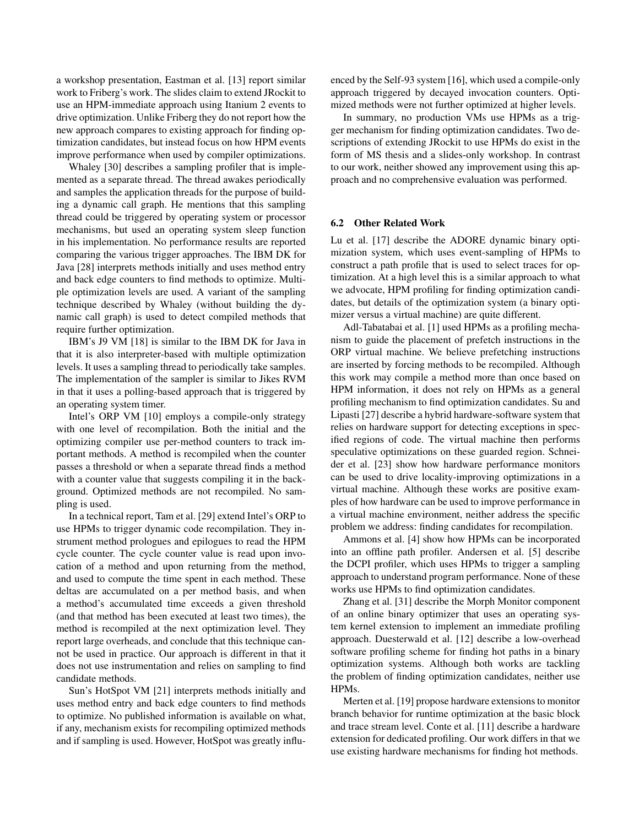a workshop presentation, Eastman et al. [13] report similar work to Friberg's work. The slides claim to extend JRockit to use an HPM-immediate approach using Itanium 2 events to drive optimization. Unlike Friberg they do not report how the new approach compares to existing approach for finding optimization candidates, but instead focus on how HPM events improve performance when used by compiler optimizations.

Whaley [30] describes a sampling profiler that is implemented as a separate thread. The thread awakes periodically and samples the application threads for the purpose of building a dynamic call graph. He mentions that this sampling thread could be triggered by operating system or processor mechanisms, but used an operating system sleep function in his implementation. No performance results are reported comparing the various trigger approaches. The IBM DK for Java [28] interprets methods initially and uses method entry and back edge counters to find methods to optimize. Multiple optimization levels are used. A variant of the sampling technique described by Whaley (without building the dynamic call graph) is used to detect compiled methods that require further optimization.

IBM's J9 VM [18] is similar to the IBM DK for Java in that it is also interpreter-based with multiple optimization levels. It uses a sampling thread to periodically take samples. The implementation of the sampler is similar to Jikes RVM in that it uses a polling-based approach that is triggered by an operating system timer.

Intel's ORP VM [10] employs a compile-only strategy with one level of recompilation. Both the initial and the optimizing compiler use per-method counters to track important methods. A method is recompiled when the counter passes a threshold or when a separate thread finds a method with a counter value that suggests compiling it in the background. Optimized methods are not recompiled. No sampling is used.

In a technical report, Tam et al. [29] extend Intel's ORP to use HPMs to trigger dynamic code recompilation. They instrument method prologues and epilogues to read the HPM cycle counter. The cycle counter value is read upon invocation of a method and upon returning from the method, and used to compute the time spent in each method. These deltas are accumulated on a per method basis, and when a method's accumulated time exceeds a given threshold (and that method has been executed at least two times), the method is recompiled at the next optimization level. They report large overheads, and conclude that this technique cannot be used in practice. Our approach is different in that it does not use instrumentation and relies on sampling to find candidate methods.

Sun's HotSpot VM [21] interprets methods initially and uses method entry and back edge counters to find methods to optimize. No published information is available on what, if any, mechanism exists for recompiling optimized methods and if sampling is used. However, HotSpot was greatly influenced by the Self-93 system [16], which used a compile-only approach triggered by decayed invocation counters. Optimized methods were not further optimized at higher levels.

In summary, no production VMs use HPMs as a trigger mechanism for finding optimization candidates. Two descriptions of extending JRockit to use HPMs do exist in the form of MS thesis and a slides-only workshop. In contrast to our work, neither showed any improvement using this approach and no comprehensive evaluation was performed.

#### 6.2 Other Related Work

Lu et al. [17] describe the ADORE dynamic binary optimization system, which uses event-sampling of HPMs to construct a path profile that is used to select traces for optimization. At a high level this is a similar approach to what we advocate, HPM profiling for finding optimization candidates, but details of the optimization system (a binary optimizer versus a virtual machine) are quite different.

Adl-Tabatabai et al. [1] used HPMs as a profiling mechanism to guide the placement of prefetch instructions in the ORP virtual machine. We believe prefetching instructions are inserted by forcing methods to be recompiled. Although this work may compile a method more than once based on HPM information, it does not rely on HPMs as a general profiling mechanism to find optimization candidates. Su and Lipasti [27] describe a hybrid hardware-software system that relies on hardware support for detecting exceptions in specified regions of code. The virtual machine then performs speculative optimizations on these guarded region. Schneider et al. [23] show how hardware performance monitors can be used to drive locality-improving optimizations in a virtual machine. Although these works are positive examples of how hardware can be used to improve performance in a virtual machine environment, neither address the specific problem we address: finding candidates for recompilation.

Ammons et al. [4] show how HPMs can be incorporated into an offline path profiler. Andersen et al. [5] describe the DCPI profiler, which uses HPMs to trigger a sampling approach to understand program performance. None of these works use HPMs to find optimization candidates.

Zhang et al. [31] describe the Morph Monitor component of an online binary optimizer that uses an operating system kernel extension to implement an immediate profiling approach. Duesterwald et al. [12] describe a low-overhead software profiling scheme for finding hot paths in a binary optimization systems. Although both works are tackling the problem of finding optimization candidates, neither use HPMs.

Merten et al. [19] propose hardware extensions to monitor branch behavior for runtime optimization at the basic block and trace stream level. Conte et al. [11] describe a hardware extension for dedicated profiling. Our work differs in that we use existing hardware mechanisms for finding hot methods.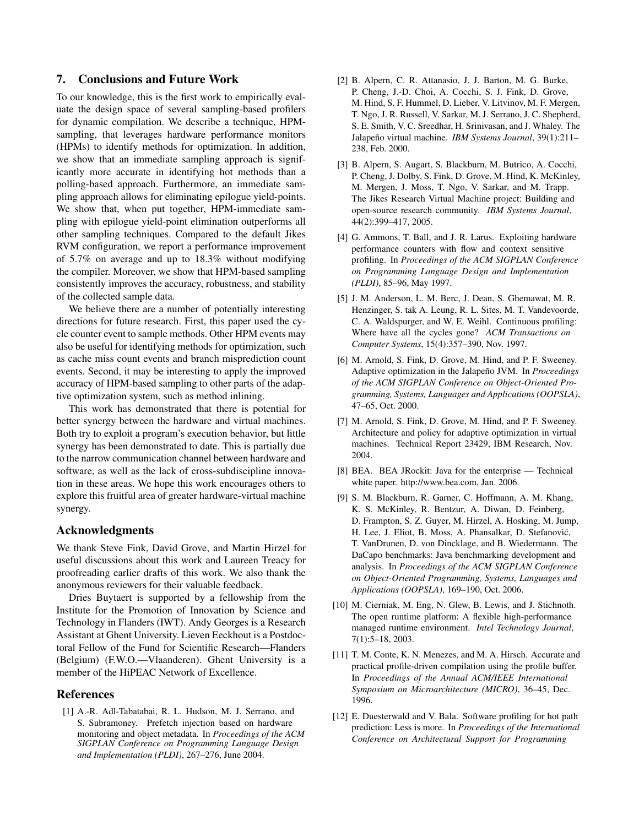# 7. Conclusions and Future Work

To our knowledge, this is the first work to empirically evaluate the design space of several sampling-based profilers for dynamic compilation. We describe a technique, HPMsampling, that leverages hardware performance monitors (HPMs) to identify methods for optimization. In addition, we show that an immediate sampling approach is significantly more accurate in identifying hot methods than a polling-based approach. Furthermore, an immediate sampling approach allows for eliminating epilogue yield-points. We show that, when put together, HPM-immediate sampling with epilogue yield-point elimination outperforms all other sampling techniques. Compared to the default Jikes RVM configuration, we report a performance improvement of 5.7% on average and up to 18.3% without modifying the compiler. Moreover, we show that HPM-based sampling consistently improves the accuracy, robustness, and stability of the collected sample data.

We believe there are a number of potentially interesting directions for future research. First, this paper used the cycle counter event to sample methods. Other HPM events may also be useful for identifying methods for optimization, such as cache miss count events and branch misprediction count events. Second, it may be interesting to apply the improved accuracy of HPM-based sampling to other parts of the adaptive optimization system, such as method inlining.

This work has demonstrated that there is potential for better synergy between the hardware and virtual machines. Both try to exploit a program's execution behavior, but little synergy has been demonstrated to date. This is partially due to the narrow communication channel between hardware and software, as well as the lack of cross-subdiscipline innovation in these areas. We hope this work encourages others to explore this fruitful area of greater hardware-virtual machine synergy.

# Acknowledgments

We thank Steve Fink, David Grove, and Martin Hirzel for useful discussions about this work and Laureen Treacy for proofreading earlier drafts of this work. We also thank the anonymous reviewers for their valuable feedback.

Dries Buytaert is supported by a fellowship from the Institute for the Promotion of Innovation by Science and Technology in Flanders (IWT). Andy Georges is a Research Assistant at Ghent University. Lieven Eeckhout is a Postdoctoral Fellow of the Fund for Scientific Research—Flanders (Belgium) (F.W.O.—Vlaanderen). Ghent University is a member of the HiPEAC Network of Excellence.

## **References**

[1] A.-R. Adl-Tabatabai, R. L. Hudson, M. J. Serrano, and S. Subramoney. Prefetch injection based on hardware monitoring and object metadata. In *Proceedings of the ACM SIGPLAN Conference on Programming Language Design and Implementation (PLDI)*, 267–276, June 2004.

- [2] B. Alpern, C. R. Attanasio, J. J. Barton, M. G. Burke, P. Cheng, J.-D. Choi, A. Cocchi, S. J. Fink, D. Grove, M. Hind, S. F. Hummel, D. Lieber, V. Litvinov, M. F. Mergen, T. Ngo, J. R. Russell, V. Sarkar, M. J. Serrano, J. C. Shepherd, S. E. Smith, V. C. Sreedhar, H. Srinivasan, and J. Whaley. The Jalapeño virtual machine. IBM Systems Journal, 39(1):211-238, Feb. 2000.
- [3] B. Alpern, S. Augart, S. Blackburn, M. Butrico, A. Cocchi, P. Cheng, J. Dolby, S. Fink, D. Grove, M. Hind, K. McKinley, M. Mergen, J. Moss, T. Ngo, V. Sarkar, and M. Trapp. The Jikes Research Virtual Machine project: Building and open-source research community. *IBM Systems Journal*, 44(2):399–417, 2005.
- [4] G. Ammons, T. Ball, and J. R. Larus. Exploiting hardware performance counters with flow and context sensitive profiling. In *Proceedings of the ACM SIGPLAN Conference on Programming Language Design and Implementation (PLDI)*, 85–96, May 1997.
- [5] J. M. Anderson, L. M. Berc, J. Dean, S. Ghemawat, M. R. Henzinger, S. tak A. Leung, R. L. Sites, M. T. Vandevoorde, C. A. Waldspurger, and W. E. Weihl. Continuous profiling: Where have all the cycles gone? *ACM Transactions on Computer Systems*, 15(4):357–390, Nov. 1997.
- [6] M. Arnold, S. Fink, D. Grove, M. Hind, and P. F. Sweeney. Adaptive optimization in the Jalapeño JVM. In *Proceedings of the ACM SIGPLAN Conference on Object-Oriented Programming, Systems, Languages and Applications (OOPSLA)*, 47–65, Oct. 2000.
- [7] M. Arnold, S. Fink, D. Grove, M. Hind, and P. F. Sweeney. Architecture and policy for adaptive optimization in virtual machines. Technical Report 23429, IBM Research, Nov. 2004.
- [8] BEA. BEA JRockit: Java for the enterprise Technical white paper. http://www.bea.com, Jan. 2006.
- [9] S. M. Blackburn, R. Garner, C. Hoffmann, A. M. Khang, K. S. McKinley, R. Bentzur, A. Diwan, D. Feinberg, D. Frampton, S. Z. Guyer, M. Hirzel, A. Hosking, M. Jump, H. Lee, J. Eliot, B. Moss, A. Phansalkar, D. Stefanović, T. VanDrunen, D. von Dincklage, and B. Wiedermann. The DaCapo benchmarks: Java benchmarking development and analysis. In *Proceedings of the ACM SIGPLAN Conference on Object-Oriented Programming, Systems, Languages and Applications (OOPSLA)*, 169–190, Oct. 2006.
- [10] M. Cierniak, M. Eng, N. Glew, B. Lewis, and J. Stichnoth. The open runtime platform: A flexible high-performance managed runtime environment. *Intel Technology Journal*, 7(1):5–18, 2003.
- [11] T. M. Conte, K. N. Menezes, and M. A. Hirsch. Accurate and practical profile-driven compilation using the profile buffer. In *Proceedings of the Annual ACM/IEEE International Symposium on Microarchitecture (MICRO)*, 36–45, Dec. 1996.
- [12] E. Duesterwald and V. Bala. Software profiling for hot path prediction: Less is more. In *Proceedings of the International Conference on Architectural Support for Programming*